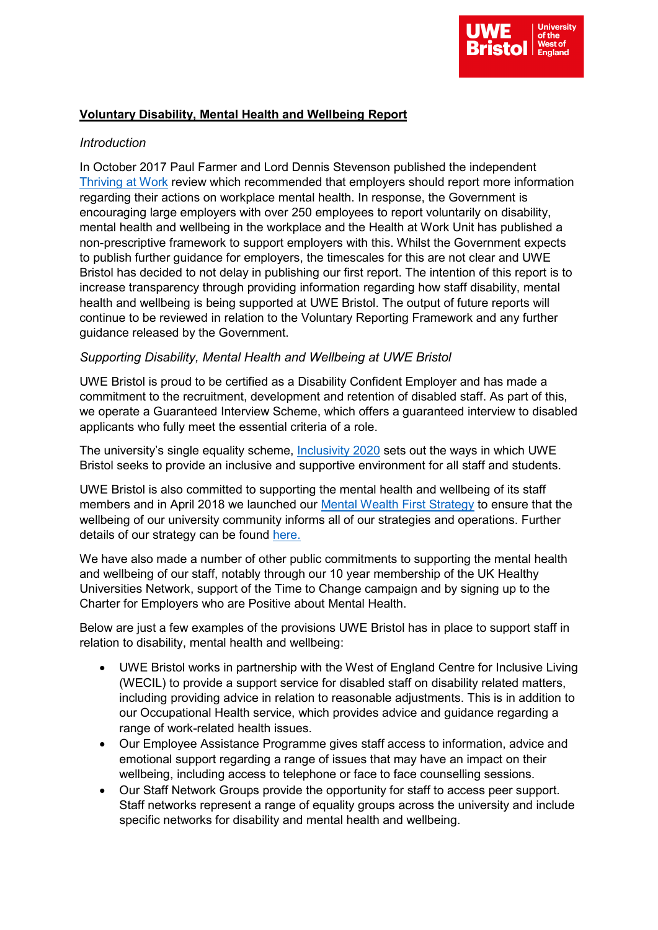

# **Voluntary Disability, Mental Health and Wellbeing Report**

## *Introduction*

In October 2017 Paul Farmer and Lord Dennis Stevenson published the independent [Thriving at Work](https://assets.publishing.service.gov.uk/government/uploads/system/uploads/attachment_data/file/658145/thriving-at-work-stevenson-farmer-review.pdf) review which recommended that employers should report more information regarding their actions on workplace mental health. In response, the Government is encouraging large employers with over 250 employees to report voluntarily on disability, mental health and wellbeing in the workplace and the Health at Work Unit has published a non-prescriptive framework to support employers with this. Whilst the Government expects to publish further guidance for employers, the timescales for this are not clear and UWE Bristol has decided to not delay in publishing our first report. The intention of this report is to increase transparency through providing information regarding how staff disability, mental health and wellbeing is being supported at UWE Bristol. The output of future reports will continue to be reviewed in relation to the Voluntary Reporting Framework and any further guidance released by the Government.

### *Supporting Disability, Mental Health and Wellbeing at UWE Bristol*

UWE Bristol is proud to be certified as a Disability Confident Employer and has made a commitment to the recruitment, development and retention of disabled staff. As part of this, we operate a Guaranteed Interview Scheme, which offers a guaranteed interview to disabled applicants who fully meet the essential criteria of a role.

The university's single equality scheme, *Inclusivity 2020* sets out the ways in which UWE Bristol seeks to provide an inclusive and supportive environment for all staff and students.

UWE Bristol is also committed to supporting the mental health and wellbeing of its staff members and in April 2018 we launched our [Mental Wealth](https://docs.uwe.ac.uk/ou/Communications/Documents/Mental%20Health%20and%20Wellbeing/Mental%20Wealth%20First%20strategy%20final.pdf) First Strategy to ensure that the wellbeing of our university community informs all of our strategies and operations. Further details of our strategy can be found [here.](https://docs.uwe.ac.uk/ou/Communications/Documents/Mental%20Health%20and%20Wellbeing/Mental%20Wealth%20First%20strategy%20final.pdf)

We have also made a number of other public commitments to supporting the mental health and wellbeing of our staff, notably through our 10 year membership of the UK Healthy Universities Network, support of the Time to Change campaign and by signing up to the [Charter for Employers who are Positive about Mental Health.](http://www.mindfulemployer.net/charter/)

Below are just a few examples of the provisions UWE Bristol has in place to support staff in relation to disability, mental health and wellbeing:

- UWE Bristol works in partnership with the West of England Centre for Inclusive Living (WECIL) to provide a support service for disabled staff on disability related matters, including providing advice in relation to reasonable adjustments. This is in addition to our Occupational Health service, which provides advice and guidance regarding a range of work-related health issues.
- Our Employee Assistance Programme gives staff access to information, advice and emotional support regarding a range of issues that may have an impact on their wellbeing, including access to telephone or face to face counselling sessions.
- Our Staff Network Groups provide the opportunity for staff to access peer support. Staff networks represent a range of equality groups across the university and include specific networks for disability and mental health and wellbeing.